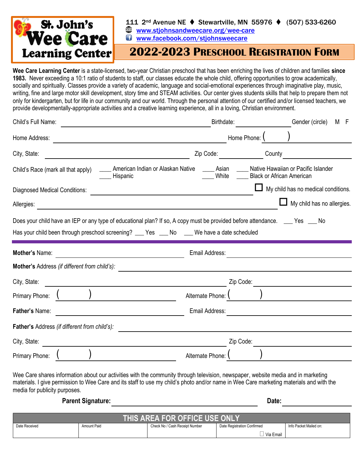

### 111 2nd Avenue NE ⧫ Stewartville, MN 55976 ⧫ (507) 533-6260

**[www.stjohnsandweecare.org/wee-care](http://www.stjohnsandweecare.org/wee-care)** 

**u**Www.facebook.com/stjohnsweecare

# **2022-2023 PRESCHOOL REGISTRATION FORM**

**Wee Care Learning Center** is a state-licensed, two-year Christian preschool that has been enriching the lives of children and families **since 1983.** Never exceeding a 10:1 ratio of students to staff, our classes educate the whole child, offering opportunities to grow academically, socially and spiritually. Classes provide a variety of academic, language and social-emotional experiences through imaginative play, music, writing, fine and large motor skill development, story time and STEAM activities. Our center gives students skills that help to prepare them not only for kindergarten, but for life in our community and our world. Through the personal attention of our certified and/or licensed teachers, we provide developmentally-appropriate activities and a creative learning experience, all in a loving, Christian environment.

| Child's Full Name:                                                                                                                    | Birthdate:                                          |                                  | Gender (circle)<br>M F              |  |
|---------------------------------------------------------------------------------------------------------------------------------------|-----------------------------------------------------|----------------------------------|-------------------------------------|--|
| Home Address:                                                                                                                         |                                                     | Home Phone:                      |                                     |  |
| City, State:                                                                                                                          | Zip Code:                                           | County                           |                                     |  |
| Child's Race (mark all that apply)<br>Hispanic                                                                                        | American Indian or Alaskan Native<br>Asian<br>White | <b>Black or African American</b> | Native Hawaiian or Pacific Islander |  |
| <b>Diagnosed Medical Conditions:</b>                                                                                                  |                                                     |                                  | My child has no medical conditions. |  |
| Allergies:                                                                                                                            |                                                     |                                  | $\perp$ My child has no allergies.  |  |
| Mother's Name:<br><u> 1989 - Johann Barbara, martxa al</u><br>Mother's Address (if different from child's):                           | Email Address:                                      |                                  |                                     |  |
| City, State:<br><u> 1989 - Johann Harry Harry Harry Harry Harry Harry Harry Harry Harry Harry Harry Harry Harry Harry Harry Harry</u> |                                                     | Zip Code:                        |                                     |  |
| Primary Phone:                                                                                                                        | Alternate Phone:                                    |                                  |                                     |  |
| Father's Name:                                                                                                                        | Email Address:                                      |                                  |                                     |  |
| <b>Father's Address (if different from child's):</b>                                                                                  |                                                     |                                  |                                     |  |
| City, State:                                                                                                                          |                                                     | Zip Code:                        |                                     |  |
| Primary Phone:                                                                                                                        | Alternate Phone:                                    |                                  |                                     |  |

Wee Care shares information about our activities with the community through television, newspaper, website media and in marketing materials. I give permission to Wee Care and its staff to use my child's photo and/or name in Wee Care marketing materials and with the media for publicity purposes.

**Parent Signature: Date:**

| THIS AREA FOR OFFICE USE ONLY |                    |                                |                             |                        |  |
|-------------------------------|--------------------|--------------------------------|-----------------------------|------------------------|--|
| Date Received                 | <b>Amount Paid</b> | Check No / Cash Receipt Number | Date Registration Confirmed | Info Packet Mailed on: |  |
|                               |                    |                                | Via Email                   |                        |  |